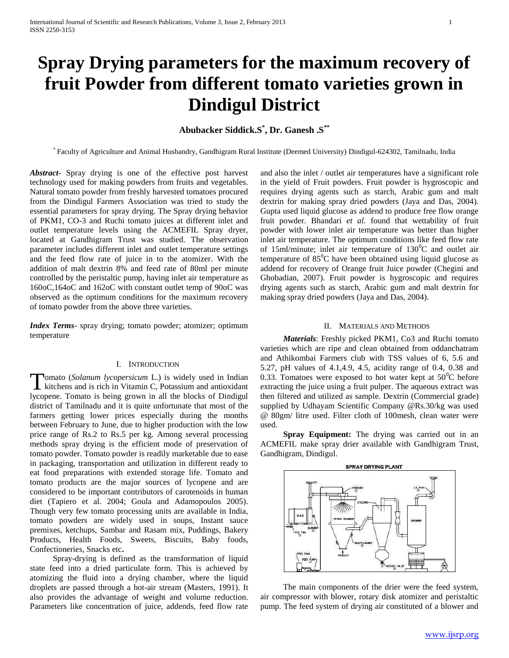# **Spray Drying parameters for the maximum recovery of fruit Powder from different tomato varieties grown in Dindigul District**

# **Abubacker Siddick.S\* , Dr. Ganesh .S\*\***

\* Faculty of Agriculture and Animal Husbandry, Gandhigram Rural Institute (Deemed University) Dindigul-624302, Tamilnadu, India

*Abstract***-** Spray drying is one of the effective post harvest technology used for making powders from fruits and vegetables. Natural tomato powder from freshly harvested tomatoes procured from the Dindigul Farmers Association was tried to study the essential parameters for spray drying. The Spray drying behavior of PKM1, CO-3 and Ruchi tomato juices at different inlet and outlet temperature levels using the ACMEFIL Spray dryer, located at Gandhigram Trust was studied. The observation parameter includes different inlet and outlet temperature settings and the feed flow rate of juice in to the atomizer. With the addition of malt dextrin 8% and feed rate of 80ml per minute controlled by the peristaltic pump, having inlet air temperature as 160oC,164oC and 162oC with constant outlet temp of 90oC was observed as the optimum conditions for the maximum recovery of tomato powder from the above three varieties.

*Index Terms*- spray drying; tomato powder; atomizer; optimum temperature

#### I. INTRODUCTION

**Tomato** (*Solanum lycopersicum* L.) is widely used in Indian Tomato (Solanum lycopersicum L.) is widely used in Indian kitchens and is rich in Vitamin C, Potassium and antioxidant lycopene. Tomato is being grown in all the blocks of Dindigul district of Tamilnadu and it is quite unfortunate that most of the farmers getting lower prices especially during the months between February to June, due to higher production with the low price range of Rs.2 to Rs.5 per kg. Among several processing methods spray drying is the efficient mode of preservation of tomato powder. Tomato powder is readily marketable due to ease in packaging, transportation and utilization in different ready to eat food preparations with extended storage life. Tomato and tomato products are the major sources of lycopene and are considered to be important contributors of carotenoids in human diet (Tapiero et al. 2004; Goula and Adamopoulos 2005). Though very few tomato processing units are available in India, tomato powders are widely used in soups, Instant sauce premixes, ketchups, Sambar and Rasam mix, Puddings, Bakery Products, Health Foods, Sweets, Biscuits, Baby foods, Confectioneries, Snacks etc**.** 

 Spray-drying is defined as the transformation of liquid state feed into a dried particulate form. This is achieved by atomizing the fluid into a drying chamber, where the liquid droplets are passed through a hot-air stream (Masters, 1991). It also provides the advantage of weight and volume reduction. Parameters like concentration of juice, addends, feed flow rate

and also the inlet / outlet air temperatures have a significant role in the yield of Fruit powders. Fruit powder is hygroscopic and requires drying agents such as starch, Arabic gum and malt dextrin for making spray dried powders (Jaya and Das, 2004). Gupta used liquid glucose as addend to produce free flow orange fruit powder. Bhandari *et al.* found that wettability of fruit powder with lower inlet air temperature was better than higher inlet air temperature. The optimum conditions like feed flow rate of 15ml/minute; inlet air temperature of  $130^0C$  and outlet air temperature of  $85^{\circ}$ C have been obtained using liquid glucose as addend for recovery of Orange fruit Juice powder (Chegini and Ghobadian, 2007). Fruit powder is hygroscopic and requires drying agents such as starch, Arabic gum and malt dextrin for making spray dried powders (Jaya and Das, 2004).

#### II. MATERIALS AND METHODS

 *Materials*: Freshly picked PKM1, Co3 and Ruchi tomato varieties which are ripe and clean obtained from oddanchatram and Athikombai Farmers club with TSS values of 6, 5.6 and 5.27, pH values of 4.1,4.9, 4.5, acidity range of 0.4, 0.38 and 0.33. Tomatoes were exposed to hot water kept at  $50^{\circ}$ C before extracting the juice using a fruit pulper. The aqueous extract was then filtered and utilized as sample. Dextrin (Commercial grade) supplied by Udhayam Scientific Company @Rs.30/kg was used @ 80gm/ litre used. Filter cloth of 100mesh, clean water were used.

 **Spray Equipment:** The drying was carried out in an ACMEFIL make spray drier available with Gandhigram Trust, Gandhigram, Dindigul.



 The main components of the drier were the feed system, air compressor with blower, rotary disk atomizer and peristaltic pump. The feed system of drying air constituted of a blower and